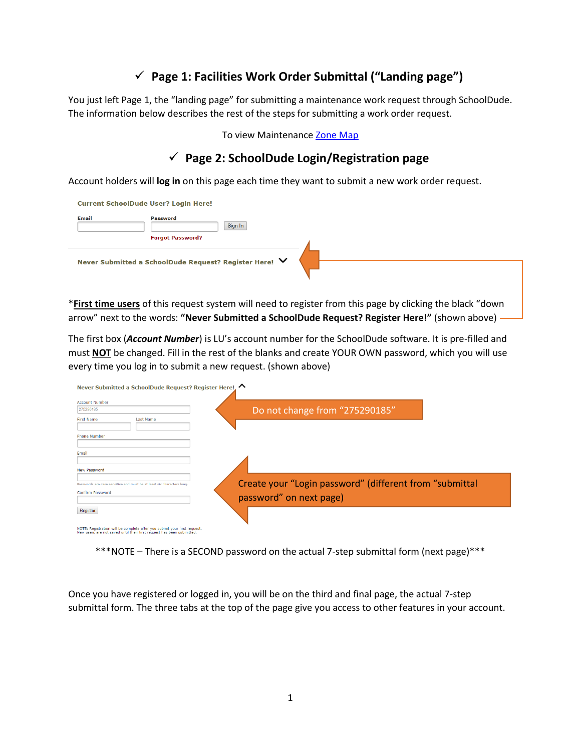# **Page 1: Facilities Work Order Submittal ("Landing page")**

You just left Page 1, the "landing page" for submitting a maintenance work request through SchoolDude. The information below describes the rest of the steps for submitting a work order request.

### To view Maintenanc[e Zone Map](http://www.liberty.edu/media/1334/zonemap/Zone_Map-Hi_Res-Edit6_QR_Insert.jpg)

## **Page 2: SchoolDude Login/Registration page**

Account holders will **log in** on this page each time they want to submit a new work order request.

|              | <b>Current SchoolDude User? Login Here!</b>            |
|--------------|--------------------------------------------------------|
| <b>Email</b> | <b>Password</b><br>Sign In<br><b>Forgot Password?</b>  |
|              | Never Submitted a SchoolDude Request? Register Here! ∨ |

\***First time users** of this request system will need to register from this page by clicking the black "down arrow" next to the words: **"Never Submitted a SchoolDude Request? Register Here!"** (shown above)

The first box (*Account Number*) is LU's account number for the SchoolDude software. It is pre-filled and must **NOT** be changed. Fill in the rest of the blanks and create YOUR OWN password, which you will use every time you log in to submit a new request. (shown above)



NOTE: Registration will be complete after you submit your first request.<br>New users are not saved until their first request has been submitted.

\*\*\*NOTE – There is a SECOND password on the actual 7-step submittal form (next page)\*\*\*

Once you have registered or logged in, you will be on the third and final page, the actual 7-step submittal form. The three tabs at the top of the page give you access to other features in your account.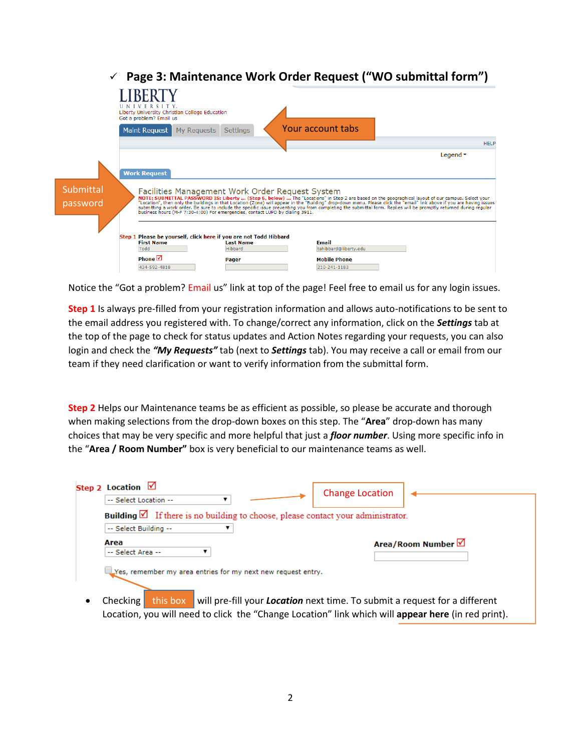|                       | Page 3: Maintenance Work Order Request ("WO submittal form")                                                                                                                                                                                                                                                                                                                                                                                                                                                                          |                       |
|-----------------------|---------------------------------------------------------------------------------------------------------------------------------------------------------------------------------------------------------------------------------------------------------------------------------------------------------------------------------------------------------------------------------------------------------------------------------------------------------------------------------------------------------------------------------------|-----------------------|
|                       | Liberty University Christian College Education<br>Got a problem? Email us                                                                                                                                                                                                                                                                                                                                                                                                                                                             |                       |
|                       | Your account tabs<br><b>Maint Request</b><br>My Requests<br>Settings                                                                                                                                                                                                                                                                                                                                                                                                                                                                  |                       |
|                       |                                                                                                                                                                                                                                                                                                                                                                                                                                                                                                                                       | <b>HELP</b>           |
|                       |                                                                                                                                                                                                                                                                                                                                                                                                                                                                                                                                       | Legend $\overline{ }$ |
|                       | <b>Work Request</b>                                                                                                                                                                                                                                                                                                                                                                                                                                                                                                                   |                       |
| Submittal<br>password | Facilities Management Work Order Request System<br>NOTE: SUBMITTAL PASSWORD IS: Liberty  (Step 6, below)  The "Locations" in Step 2 are based on the geographical layout of our campus. Select your<br>"Location", then only the buildings in that Location (Zone) will appear<br>submitting a work order. Be sure to include the specific issue preventing you from completing the submittal form. Replies will be promptly returned during regular<br>business hours (M-F 7:30-4:00) For emergencies, contact LUPD by dialing 3911. |                       |
|                       | Step 1 Please be vourself, click here if you are not Todd Hibbard<br><b>First Name</b><br><b>Email</b><br><b>Last Name</b><br>Todd<br>Hibbard<br>tahibbard@liberty.edu<br>Phone $\boxtimes$<br><b>Mobile Phone</b><br>Pager<br>434-592-4818<br>210-241-1183                                                                                                                                                                                                                                                                           |                       |

Notice the "Got a problem? Email us" link at top of the page! Feel free to email us for any login issues.

**Step 1** Is always pre-filled from your registration information and allows auto-notifications to be sent to the email address you registered with. To change/correct any information, click on the *Settings* tab at the top of the page to check for status updates and Action Notes regarding your requests, you can also login and check the *"My Requests"* tab (next to *Settings* tab). You may receive a call or email from our team if they need clarification or want to verify information from the submittal form.

**Step 2** Helps our Maintenance teams be as efficient as possible, so please be accurate and thorough when making selections from the drop-down boxes on this step. The "**Area**" drop-down has many choices that may be very specific and more helpful that just a *floor number*. Using more specific info in the "**Area / Room Number"** box is very beneficial to our maintenance teams as well.

| Step 2 Location $\boxtimes$<br>-- Select Location --                                       | <b>Change Location</b>                                                            |  |  |  |  |  |  |
|--------------------------------------------------------------------------------------------|-----------------------------------------------------------------------------------|--|--|--|--|--|--|
| Building $\boxtimes$ If there is no building to choose, please contact your administrator. |                                                                                   |  |  |  |  |  |  |
| -- Select Building --                                                                      |                                                                                   |  |  |  |  |  |  |
| Area<br>-- Select Area --                                                                  | Area/Room Number <b>立</b>                                                         |  |  |  |  |  |  |
| Ves, remember my area entries for my next new request entry.                               |                                                                                   |  |  |  |  |  |  |
|                                                                                            |                                                                                   |  |  |  |  |  |  |
| this box<br>Checking                                                                       | will pre-fill your <b>Location</b> next time. To submit a request for a different |  |  |  |  |  |  |

• Checking this box will pre-fill your **Location** next time. To submit a request for a different Location, you will need to click the "Change Location" link which will **appear here** (in red print). this box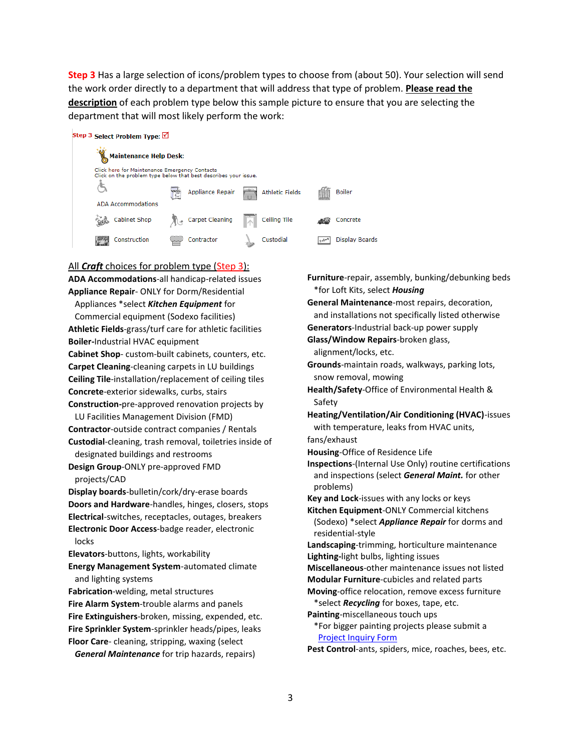**Step 3** Has a large selection of icons/problem types to choose from (about 50). Your selection will send the work order directly to a department that will address that type of problem. **Please read the description** of each problem type below this sample picture to ensure that you are selecting the department that will most likely perform the work:

#### Step 3 Select Problem Type: √

|  | <b>Maintenance Help Desk:</b>                                                                                    |                  |          |                        |             |                |
|--|------------------------------------------------------------------------------------------------------------------|------------------|----------|------------------------|-------------|----------------|
|  | Click here for Maintenance Emergency Contacts<br>Click on the problem type below that best describes your issue. |                  |          |                        |             |                |
|  |                                                                                                                  | Appliance Repair |          | <b>Athletic Fields</b> |             | <b>Boiler</b>  |
|  | ADA Accommodations                                                                                               |                  |          |                        |             |                |
|  | Cabinet Shop                                                                                                     | Carpet Cleaning  | $\wedge$ | Ceiling Tile           |             | Concrete       |
|  | Construction                                                                                                     | Contractor       |          | Custodial              | $1 + 2 + 7$ | Display Boards |

### All *Craft* choices for problem type (Step 3): **ADA Accommodations**-all handicap-related issues

**Appliance Repair**- ONLY for Dorm/Residential Appliances \*select *Kitchen Equipment* for Commercial equipment (Sodexo facilities) **Athletic Fields**-grass/turf care for athletic facilities **Boiler-**Industrial HVAC equipment **Cabinet Shop**- custom-built cabinets, counters, etc. **Carpet Cleaning**-cleaning carpets in LU buildings **Ceiling Tile**-installation/replacement of ceiling tiles **Concrete**-exterior sidewalks, curbs, stairs **Construction-**pre-approved renovation projects by LU Facilities Management Division (FMD) **Contractor**-outside contract companies / Rentals **Custodial**-cleaning, trash removal, toiletries inside of designated buildings and restrooms **Design Group**-ONLY pre-approved FMD projects/CAD **Display boards**-bulletin/cork/dry-erase boards \*for Loft Kits, select *Housing* Safety problems)

**Doors and Hardware**-handles, hinges, closers, stops **Electrical**-switches, receptacles, outages, breakers **Electronic Door Access**-badge reader, electronic locks

**Elevators**-buttons, lights, workability

**Energy Management System**-automated climate and lighting systems

**Fabrication**-welding, metal structures

**Fire Alarm System**-trouble alarms and panels **Fire Extinguishers**-broken, missing, expended, etc. **Fire Sprinkler System**-sprinkler heads/pipes, leaks **Floor Care**- cleaning, stripping, waxing (select *General Maintenance* for trip hazards, repairs)

**General Maintenance**-most repairs, decoration, and installations not specifically listed otherwise **Generators**-Industrial back-up power supply **Glass/Window Repairs**-broken glass, alignment/locks, etc. **Grounds**-maintain roads, walkways, parking lots, snow removal, mowing **Health/Safety**-Office of Environmental Health & **Heating/Ventilation/Air Conditioning (HVAC)**-issues with temperature, leaks from HVAC units, fans/exhaust **Housing**-Office of Residence Life **Inspections**-(Internal Use Only) routine certifications and inspections (select *General Maint.* for other **Key and Lock**-issues with any locks or keys **Kitchen Equipment**-ONLY Commercial kitchens (Sodexo) \*select *Appliance Repair* for dorms and residential-style **Landscaping**-trimming, horticulture maintenance **Lighting-**light bulbs, lighting issues **Miscellaneous**-other maintenance issues not listed **Modular Furniture**-cubicles and related parts **Moving**-office relocation, remove excess furniture \*select *Recycling* for boxes, tape, etc. **Painting**-miscellaneous touch ups \*For bigger painting projects please submit a

**Furniture**-repair, assembly, bunking/debunking beds

[Project Inquiry Form](http://www.liberty.edu/media/1334/Project_Inquiry_Form_fillable.pdf)

**Pest Control**-ants, spiders, mice, roaches, bees, etc.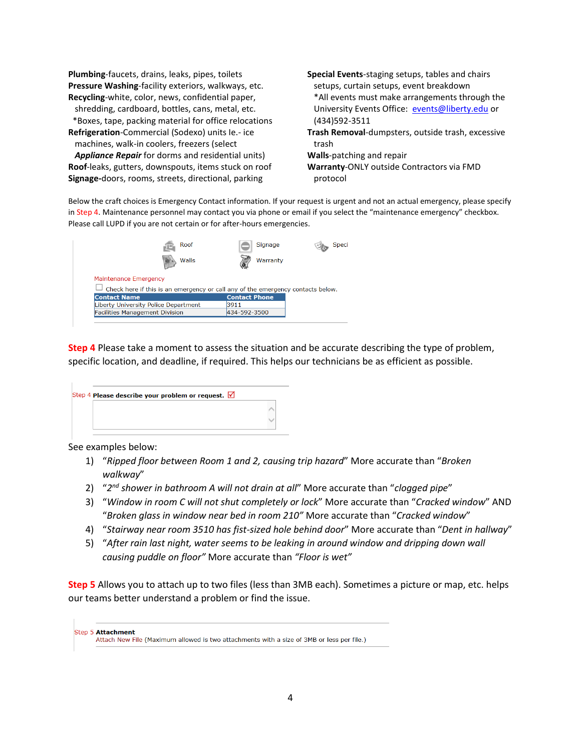**Plumbing**-faucets, drains, leaks, pipes, toilets **Pressure Washing**-facility exteriors, walkways, etc. **Recycling**-white, color, news, confidential paper,

 shredding, cardboard, bottles, cans, metal, etc. \*Boxes, tape, packing material for office relocations

**Refrigeration**-Commercial (Sodexo) units Ie.- ice machines, walk-in coolers, freezers (select

 *Appliance Repair* for dorms and residential units) **Roof**-leaks, gutters, downspouts, items stuck on roof **Signage-**doors, rooms, streets, directional, parking

**Special Events**-staging setups, tables and chairs setups, curtain setups, event breakdown \*All events must make arrangements through the University Events Office: [events@liberty.edu](mailto:events@liberty.edu) or (434)592-3511 **Trash Removal**-dumpsters, outside trash, excessive trash **Walls**-patching and repair **Warranty**-ONLY outside Contractors via FMD protocol

Below the craft choices is Emergency Contact information. If your request is urgent and not an actual emergency, please specify in Step 4. Maintenance personnel may contact you via phone or email if you select the "maintenance emergency" checkbox. Please call LUPD if you are not certain or for after-hours emergencies.



**Step 4** Please take a moment to assess the situation and be accurate describing the type of problem, specific location, and deadline, if required. This helps our technicians be as efficient as possible.

| Step 4 Please describe your problem or request. $\sqrt{ }$ |  |
|------------------------------------------------------------|--|
|                                                            |  |
|                                                            |  |

See examples below:

- 1) "*Ripped floor between Room 1 and 2, causing trip hazard*" More accurate than "*Broken walkway*"
- 2) "*2 nd shower in bathroom A will not drain at all*" More accurate than "*clogged pipe*"
- 3) "*Window in room C will not shut completely or lock*" More accurate than "*Cracked window*" AND "*Broken glass in window near bed in room 210"* More accurate than "*Cracked window*"
- 4) "*Stairway near room 3510 has fist-sized hole behind door*" More accurate than "*Dent in hallway*"
- 5) "*After rain last night, water seems to be leaking in around window and dripping down wall causing puddle on floor"* More accurate than *"Floor is wet"*

**Step 5** Allows you to attach up to two files (less than 3MB each). Sometimes a picture or map, etc. helps our teams better understand a problem or find the issue.

| Step 5 Attachment<br>Attach New File (Maximum allowed is two attachments with a size of 3MB or less per file.) |
|----------------------------------------------------------------------------------------------------------------|
|----------------------------------------------------------------------------------------------------------------|